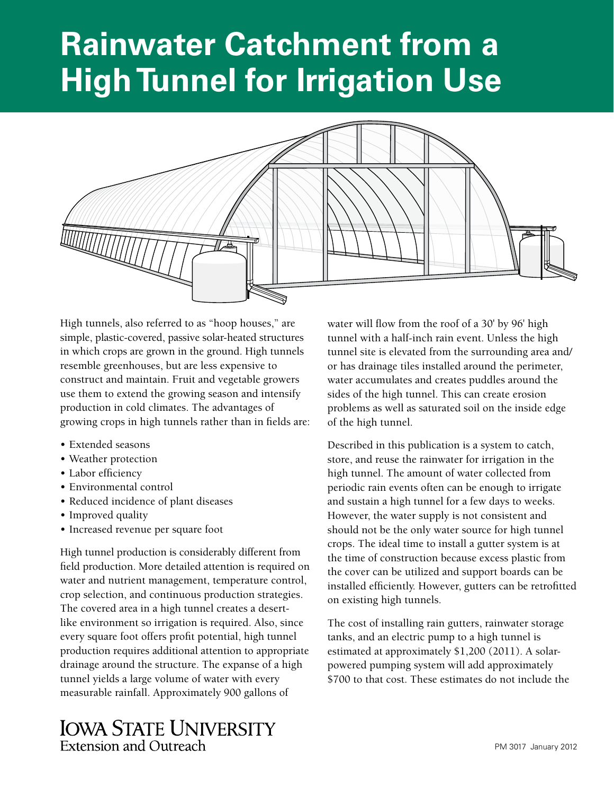# **Rainwater Catchment from a High Tunnel for Irrigation Use**



High tunnels, also referred to as "hoop houses," are simple, plastic-covered, passive solar-heated structures in which crops are grown in the ground. High tunnels resemble greenhouses, but are less expensive to construct and maintain. Fruit and vegetable growers use them to extend the growing season and intensify production in cold climates. The advantages of growing crops in high tunnels rather than in fields are:

- Extended seasons
- Weather protection
- Labor efficiency
- Environmental control
- Reduced incidence of plant diseases
- Improved quality
- Increased revenue per square foot

High tunnel production is considerably different from field production. More detailed attention is required on water and nutrient management, temperature control, crop selection, and continuous production strategies. The covered area in a high tunnel creates a desertlike environment so irrigation is required. Also, since every square foot offers profit potential, high tunnel production requires additional attention to appropriate drainage around the structure. The expanse of a high tunnel yields a large volume of water with every measurable rainfall. Approximately 900 gallons of

# **IOWA STATE UNIVERSITY Extension and Outreach**

water will flow from the roof of a 30' by 96' high tunnel with a half-inch rain event. Unless the high tunnel site is elevated from the surrounding area and/ or has drainage tiles installed around the perimeter, water accumulates and creates puddles around the sides of the high tunnel. This can create erosion problems as well as saturated soil on the inside edge of the high tunnel.

Described in this publication is a system to catch, store, and reuse the rainwater for irrigation in the high tunnel. The amount of water collected from periodic rain events often can be enough to irrigate and sustain a high tunnel for a few days to weeks. However, the water supply is not consistent and should not be the only water source for high tunnel crops. The ideal time to install a gutter system is at the time of construction because excess plastic from the cover can be utilized and support boards can be installed efficiently. However, gutters can be retrofitted on existing high tunnels.

The cost of installing rain gutters, rainwater storage tanks, and an electric pump to a high tunnel is estimated at approximately \$1,200 (2011). A solarpowered pumping system will add approximately \$700 to that cost. These estimates do not include the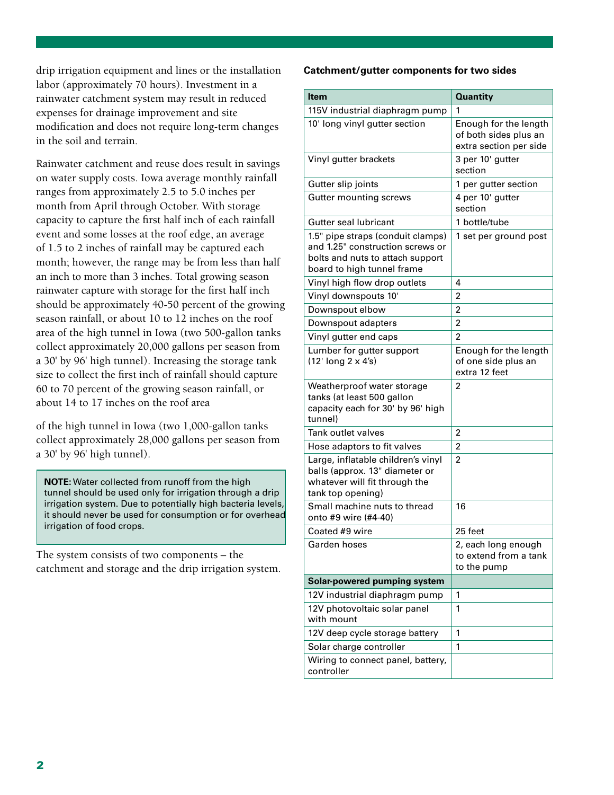drip irrigation equipment and lines or the installation labor (approximately 70 hours). Investment in a rainwater catchment system may result in reduced expenses for drainage improvement and site modification and does not require long-term changes in the soil and terrain.

Rainwater catchment and reuse does result in savings on water supply costs. Iowa average monthly rainfall ranges from approximately 2.5 to 5.0 inches per month from April through October. With storage capacity to capture the first half inch of each rainfall event and some losses at the roof edge, an average of 1.5 to 2 inches of rainfall may be captured each month; however, the range may be from less than half an inch to more than 3 inches. Total growing season rainwater capture with storage for the first half inch should be approximately 40-50 percent of the growing season rainfall, or about 10 to 12 inches on the roof area of the high tunnel in Iowa (two 500-gallon tanks collect approximately 20,000 gallons per season from a 30' by 96' high tunnel). Increasing the storage tank size to collect the first inch of rainfall should capture 60 to 70 percent of the growing season rainfall, or about 14 to 17 inches on the roof area

of the high tunnel in Iowa (two 1,000-gallon tanks collect approximately 28,000 gallons per season from a 30' by 96' high tunnel).

**NOTE:** Water collected from runoff from the high tunnel should be used only for irrigation through a drip irrigation system. Due to potentially high bacteria levels, it should never be used for consumption or for overhead irrigation of food crops.

The system consists of two components – the catchment and storage and the drip irrigation system.

#### **Catchment/gutter components for two sides**

| <b>Item</b>                                                                                                                             | <b>Quantity</b>                                                          |
|-----------------------------------------------------------------------------------------------------------------------------------------|--------------------------------------------------------------------------|
| 115V industrial diaphragm pump                                                                                                          | 1                                                                        |
| 10' long vinyl gutter section                                                                                                           | Enough for the length<br>of both sides plus an<br>extra section per side |
| Vinyl gutter brackets                                                                                                                   | 3 per 10' gutter<br>section                                              |
| Gutter slip joints                                                                                                                      | 1 per gutter section                                                     |
| <b>Gutter mounting screws</b>                                                                                                           | 4 per 10' gutter<br>section                                              |
| Gutter seal lubricant                                                                                                                   | 1 bottle/tube                                                            |
| 1.5" pipe straps (conduit clamps)<br>and 1.25" construction screws or<br>bolts and nuts to attach support<br>board to high tunnel frame | 1 set per ground post                                                    |
| Vinyl high flow drop outlets                                                                                                            | 4                                                                        |
| Vinyl downspouts 10'                                                                                                                    | 2                                                                        |
| Downspout elbow                                                                                                                         | $\overline{2}$                                                           |
| Downspout adapters                                                                                                                      | $\overline{2}$                                                           |
| Vinyl gutter end caps                                                                                                                   | $\overline{2}$                                                           |
| Lumber for gutter support<br>$(12'$ long $2 \times 4's)$                                                                                | Enough for the length<br>of one side plus an<br>extra 12 feet            |
| Weatherproof water storage<br>tanks (at least 500 gallon<br>capacity each for 30' by 96' high<br>tunnel)                                | 2                                                                        |
| Tank outlet valves                                                                                                                      | 2                                                                        |
| Hose adaptors to fit valves                                                                                                             | 2                                                                        |
| Large, inflatable children's vinyl<br>balls (approx. 13" diameter or<br>whatever will fit through the<br>tank top opening)              | 2                                                                        |
| Small machine nuts to thread<br>onto #9 wire (#4-40)                                                                                    | 16                                                                       |
| Coated #9 wire                                                                                                                          | 25 feet                                                                  |
| Garden hoses                                                                                                                            | 2, each long enough<br>to extend from a tank<br>to the pump              |
| Solar-powered pumping system                                                                                                            |                                                                          |
| 12V industrial diaphragm pump                                                                                                           | 1                                                                        |
| 12V photovoltaic solar panel<br>with mount                                                                                              | 1                                                                        |
| 12V deep cycle storage battery                                                                                                          | 1                                                                        |
| Solar charge controller                                                                                                                 | 1                                                                        |
| Wiring to connect panel, battery,<br>controller                                                                                         |                                                                          |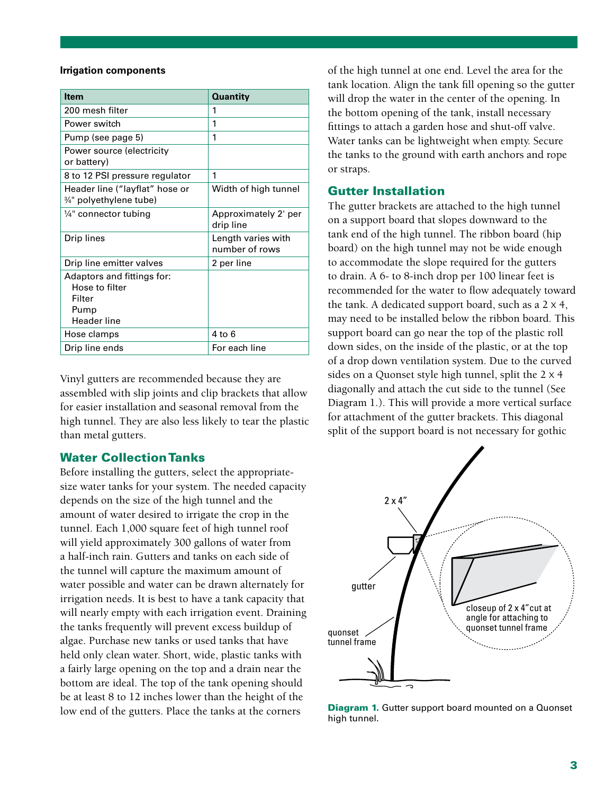#### **Irrigation components**

| <b>Item</b>                                                                          | <b>Quantity</b>                      |
|--------------------------------------------------------------------------------------|--------------------------------------|
| 200 mesh filter                                                                      | 1                                    |
| Power switch                                                                         | 1                                    |
| Pump (see page 5)                                                                    | 1                                    |
| Power source (electricity<br>or battery)                                             |                                      |
| 8 to 12 PSI pressure regulator                                                       | 1                                    |
| Header line ("layflat" hose or<br>3/4" polyethylene tube)                            | Width of high tunnel                 |
| $\frac{1}{4}$ " connector tubing                                                     | Approximately 2' per<br>drip line    |
| Drip lines                                                                           | Length varies with<br>number of rows |
| Drip line emitter valves                                                             | 2 per line                           |
| Adaptors and fittings for:<br>Hose to filter<br>Filter<br>Pump<br><b>Header line</b> |                                      |
| Hose clamps                                                                          | 4 to 6                               |
| Drip line ends                                                                       | For each line                        |

Vinyl gutters are recommended because they are assembled with slip joints and clip brackets that allow for easier installation and seasonal removal from the high tunnel. They are also less likely to tear the plastic than metal gutters.

#### Water Collection Tanks

Before installing the gutters, select the appropriatesize water tanks for your system. The needed capacity depends on the size of the high tunnel and the amount of water desired to irrigate the crop in the tunnel. Each 1,000 square feet of high tunnel roof will yield approximately 300 gallons of water from a half-inch rain. Gutters and tanks on each side of the tunnel will capture the maximum amount of water possible and water can be drawn alternately for irrigation needs. It is best to have a tank capacity that will nearly empty with each irrigation event. Draining the tanks frequently will prevent excess buildup of algae. Purchase new tanks or used tanks that have held only clean water. Short, wide, plastic tanks with a fairly large opening on the top and a drain near the bottom are ideal. The top of the tank opening should be at least 8 to 12 inches lower than the height of the low end of the gutters. Place the tanks at the corners

of the high tunnel at one end. Level the area for the tank location. Align the tank fill opening so the gutter will drop the water in the center of the opening. In the bottom opening of the tank, install necessary fittings to attach a garden hose and shut-off valve. Water tanks can be lightweight when empty. Secure the tanks to the ground with earth anchors and rope or straps.

#### Gutter Installation

The gutter brackets are attached to the high tunnel on a support board that slopes downward to the tank end of the high tunnel. The ribbon board (hip board) on the high tunnel may not be wide enough to accommodate the slope required for the gutters to drain. A 6- to 8-inch drop per 100 linear feet is recommended for the water to flow adequately toward the tank. A dedicated support board, such as a  $2 \times 4$ , may need to be installed below the ribbon board. This support board can go near the top of the plastic roll down sides, on the inside of the plastic, or at the top of a drop down ventilation system. Due to the curved sides on a Quonset style high tunnel, split the 2 x 4 diagonally and attach the cut side to the tunnel (See Diagram 1.). This will provide a more vertical surface for attachment of the gutter brackets. This diagonal split of the support board is not necessary for gothic



**Diagram 1.** Gutter support board mounted on a Quonset high tunnel.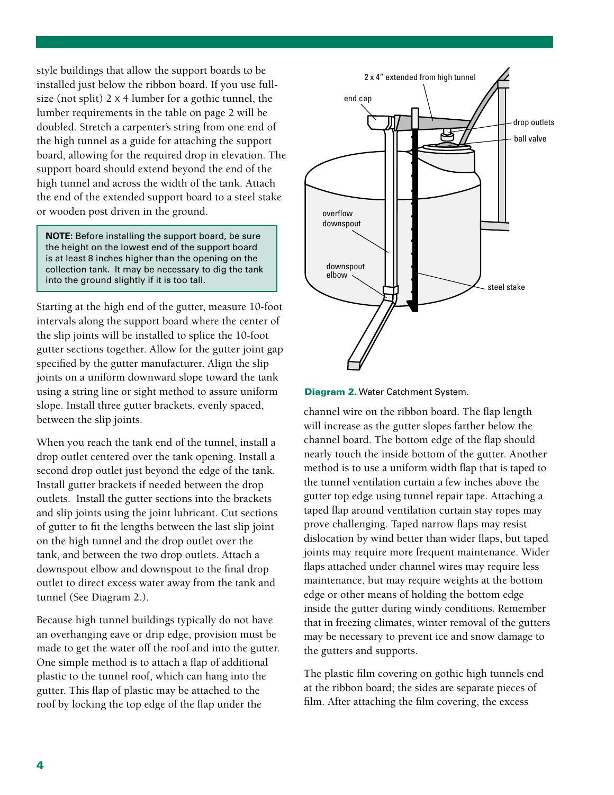style buildings that allow the support boards to be installed just below the ribbon board. If you use fullsize (not split)  $2 \times 4$  lumber for a gothic tunnel, the lumber requirements in the table on page 2 will be doubled. Stretch a carpenter's string from one end of the high tunnel as a guide for attaching the support board, allowing for the required drop in elevation. The support board should extend beyond the end of the high tunnel and across the width of the tank. Attach the end of the extended support board to a steel stake or wooden post driven in the ground.

**NOTE:** Before installing the support board, be sure the height on the lowest end of the support board is at least 8 inches higher than the opening on the collection tank. It may be necessary to dig the tank into the ground slightly if it is too tall.

Starting at the high end of the gutter, measure 10-foot intervals along the support board where the center of the slip joints will be installed to splice the 10-foot gutter sections together. Allow for the gutter joint gap specified by the gutter manufacturer. Align the slip joints on a uniform downward slope toward the tank using a string line or sight method to assure uniform slope. Install three gutter brackets, evenly spaced, between the slip joints.

When you reach the tank end of the tunnel, install a drop outlet centered over the tank opening. Install a second drop outlet just beyond the edge of the tank. Install gutter brackets if needed between the drop outlets. Install the gutter sections into the brackets and slip joints using the joint lubricant. Cut sections of gutter to fit the lengths between the last slip joint on the high tunnel and the drop outlet over the tank, and between the two drop outlets. Attach a downspout elbow and downspout to the final drop outlet to direct excess water away from the tank and tunnel (See Diagram 2.).

Because high tunnel buildings typically do not have an overhanging eave or drip edge, provision must be made to get the water off the roof and into the gutter. One simple method is to attach a flap of additional plastic to the tunnel roof, which can hang into the gutter. This flap of plastic may be attached to the roof by locking the top edge of the flap under the



Diagram 2. Water Catchment System.

channel wire on the ribbon board. The flap length will increase as the gutter slopes farther below the channel board. The bottom edge of the flap should nearly touch the inside bottom of the gutter. Another method is to use a uniform width flap that is taped to the tunnel ventilation curtain a few inches above the gutter top edge using tunnel repair tape. Attaching a taped flap around ventilation curtain stay ropes may prove challenging. Taped narrow flaps may resist dislocation by wind better than wider flaps, but taped joints may require more frequent maintenance. Wider flaps attached under channel wires may require less maintenance, but may require weights at the bottom edge or other means of holding the bottom edge inside the gutter during windy conditions. Remember that in freezing climates, winter removal of the gutters may be necessary to prevent ice and snow damage to the gutters and supports.

The plastic film covering on gothic high tunnels end at the ribbon board; the sides are separate pieces of film. After attaching the film covering, the excess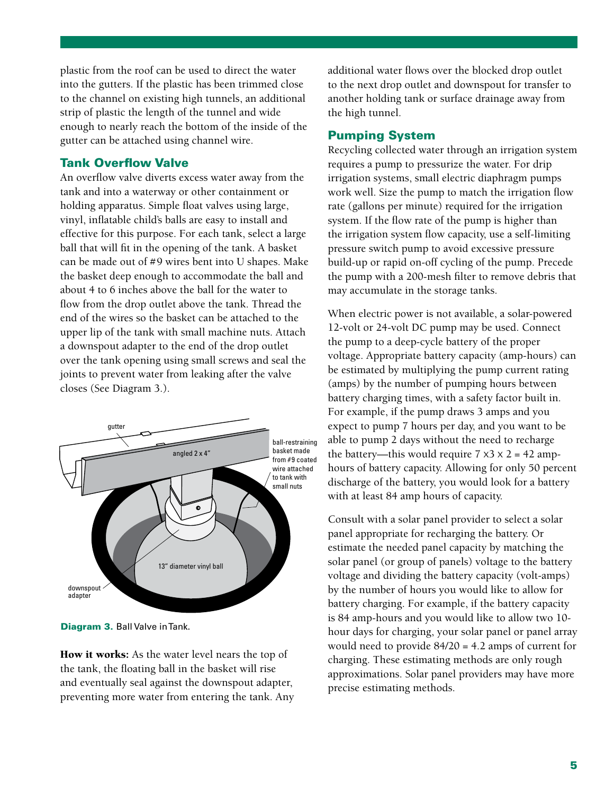plastic from the roof can be used to direct the water into the gutters. If the plastic has been trimmed close to the channel on existing high tunnels, an additional strip of plastic the length of the tunnel and wide enough to nearly reach the bottom of the inside of the gutter can be attached using channel wire.

## Tank Overflow Valve

An overflow valve diverts excess water away from the tank and into a waterway or other containment or holding apparatus. Simple float valves using large, vinyl, inflatable child's balls are easy to install and effective for this purpose. For each tank, select a large ball that will fit in the opening of the tank. A basket can be made out of #9 wires bent into U shapes. Make the basket deep enough to accommodate the ball and about 4 to 6 inches above the ball for the water to flow from the drop outlet above the tank. Thread the end of the wires so the basket can be attached to the upper lip of the tank with small machine nuts. Attach a downspout adapter to the end of the drop outlet over the tank opening using small screws and seal the joints to prevent water from leaking after the valve closes (See Diagram 3.).



Diagram 3. Ball Valve in Tank.

How it works: As the water level nears the top of the tank, the floating ball in the basket will rise and eventually seal against the downspout adapter, preventing more water from entering the tank. Any additional water flows over the blocked drop outlet to the next drop outlet and downspout for transfer to another holding tank or surface drainage away from the high tunnel.

## Pumping System

Recycling collected water through an irrigation system requires a pump to pressurize the water. For drip irrigation systems, small electric diaphragm pumps work well. Size the pump to match the irrigation flow rate (gallons per minute) required for the irrigation system. If the flow rate of the pump is higher than the irrigation system flow capacity, use a self-limiting pressure switch pump to avoid excessive pressure build-up or rapid on-off cycling of the pump. Precede the pump with a 200-mesh filter to remove debris that may accumulate in the storage tanks.

When electric power is not available, a solar-powered 12-volt or 24-volt DC pump may be used. Connect the pump to a deep-cycle battery of the proper voltage. Appropriate battery capacity (amp-hours) can be estimated by multiplying the pump current rating (amps) by the number of pumping hours between battery charging times, with a safety factor built in. For example, if the pump draws 3 amps and you expect to pump 7 hours per day, and you want to be able to pump 2 days without the need to recharge the battery—this would require  $7 \times 3 \times 2 = 42$  amphours of battery capacity. Allowing for only 50 percent discharge of the battery, you would look for a battery with at least 84 amp hours of capacity.

Consult with a solar panel provider to select a solar panel appropriate for recharging the battery. Or estimate the needed panel capacity by matching the solar panel (or group of panels) voltage to the battery voltage and dividing the battery capacity (volt-amps) by the number of hours you would like to allow for battery charging. For example, if the battery capacity is 84 amp-hours and you would like to allow two 10 hour days for charging, your solar panel or panel array would need to provide 84/20 = 4.2 amps of current for charging. These estimating methods are only rough approximations. Solar panel providers may have more precise estimating methods.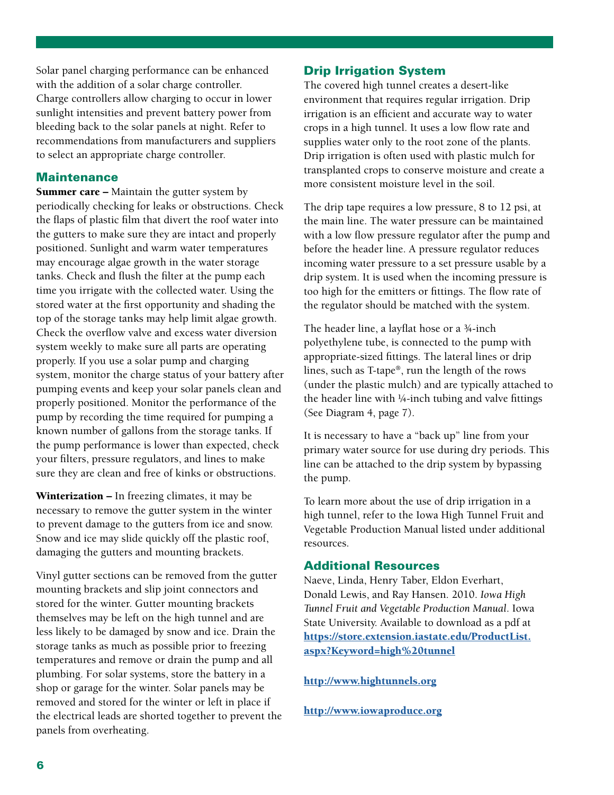Solar panel charging performance can be enhanced with the addition of a solar charge controller. Charge controllers allow charging to occur in lower sunlight intensities and prevent battery power from bleeding back to the solar panels at night. Refer to recommendations from manufacturers and suppliers to select an appropriate charge controller.

#### **Maintenance**

**Summer care –** Maintain the gutter system by periodically checking for leaks or obstructions. Check the flaps of plastic film that divert the roof water into the gutters to make sure they are intact and properly positioned. Sunlight and warm water temperatures may encourage algae growth in the water storage tanks. Check and flush the filter at the pump each time you irrigate with the collected water. Using the stored water at the first opportunity and shading the top of the storage tanks may help limit algae growth. Check the overflow valve and excess water diversion system weekly to make sure all parts are operating properly. If you use a solar pump and charging system, monitor the charge status of your battery after pumping events and keep your solar panels clean and properly positioned. Monitor the performance of the pump by recording the time required for pumping a known number of gallons from the storage tanks. If the pump performance is lower than expected, check your filters, pressure regulators, and lines to make sure they are clean and free of kinks or obstructions.

Winterization – In freezing climates, it may be necessary to remove the gutter system in the winter to prevent damage to the gutters from ice and snow. Snow and ice may slide quickly off the plastic roof, damaging the gutters and mounting brackets.

Vinyl gutter sections can be removed from the gutter mounting brackets and slip joint connectors and stored for the winter. Gutter mounting brackets themselves may be left on the high tunnel and are less likely to be damaged by snow and ice. Drain the storage tanks as much as possible prior to freezing temperatures and remove or drain the pump and all plumbing. For solar systems, store the battery in a shop or garage for the winter. Solar panels may be removed and stored for the winter or left in place if the electrical leads are shorted together to prevent the panels from overheating.

#### Drip Irrigation System

The covered high tunnel creates a desert-like environment that requires regular irrigation. Drip irrigation is an efficient and accurate way to water crops in a high tunnel. It uses a low flow rate and supplies water only to the root zone of the plants. Drip irrigation is often used with plastic mulch for transplanted crops to conserve moisture and create a more consistent moisture level in the soil.

The drip tape requires a low pressure, 8 to 12 psi, at the main line. The water pressure can be maintained with a low flow pressure regulator after the pump and before the header line. A pressure regulator reduces incoming water pressure to a set pressure usable by a drip system. It is used when the incoming pressure is too high for the emitters or fittings. The flow rate of the regulator should be matched with the system.

The header line, a layflat hose or a ¾-inch polyethylene tube, is connected to the pump with appropriate-sized fittings. The lateral lines or drip lines, such as T-tape®, run the length of the rows (under the plastic mulch) and are typically attached to the header line with ¼-inch tubing and valve fittings (See Diagram 4, page 7).

It is necessary to have a "back up" line from your primary water source for use during dry periods. This line can be attached to the drip system by bypassing the pump.

To learn more about the use of drip irrigation in a high tunnel, refer to the Iowa High Tunnel Fruit and Vegetable Production Manual listed under additional resources.

# Additional Resources

Naeve, Linda, Henry Taber, Eldon Everhart, Donald Lewis, and Ray Hansen. 2010. *Iowa High Tunnel Fruit and Vegetable Production Manual*. Iowa State University. Available to download as a pdf at [https://store.extension.iastate.edu/ProductList.](https://store.extension.iastate.edu/ProductList.aspx?Keyword=high%20tunnel) [aspx?Keyword=high%20tunnel](https://store.extension.iastate.edu/ProductList.aspx?Keyword=high%20tunnel)

#### <http://www.hightunnels.org>

<http://www.iowaproduce.org>